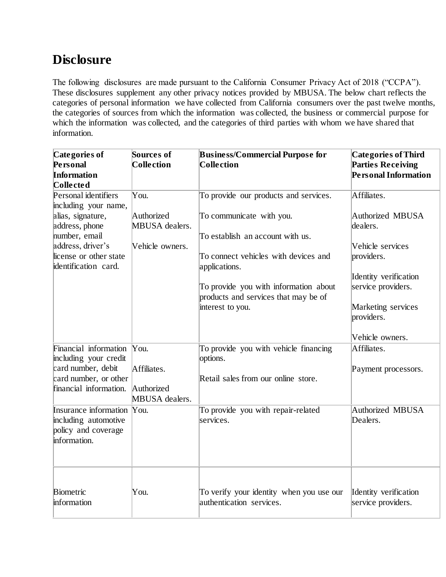### **Disclosure**

The following disclosures are made pursuant to the California Consumer Privacy Act of 2018 ("CCPA"). These disclosures supplement any other privacy notices provided by MBUSA. The below chart reflects the categories of personal information we have collected from California consumers over the past twelve months, the categories of sources from which the information was collected, the business or commercial purpose for which the information was collected, and the categories of third parties with whom we have shared that information.

| Categories of                                  | Sources of      | <b>Business/Commercial Purpose for</b>                | <b>Categories of Third</b>  |
|------------------------------------------------|-----------------|-------------------------------------------------------|-----------------------------|
| Personal                                       | Collection      | <b>Collection</b>                                     | <b>Parties Receiving</b>    |
| <b>Information</b>                             |                 |                                                       | <b>Personal Information</b> |
| Collected                                      |                 |                                                       |                             |
| Personal identifiers                           | You.            | To provide our products and services.                 | Affiliates.                 |
| including your name,                           |                 |                                                       |                             |
| alias, signature,                              | Authorized      | To communicate with you.                              | Authorized MBUSA            |
| address, phone                                 | MBUSA dealers.  |                                                       | dealers.                    |
| number, email                                  |                 | To establish an account with us.                      |                             |
| address, driver's                              | Vehicle owners. |                                                       | Vehicle services            |
| license or other state<br>identification card. |                 | To connect vehicles with devices and<br>applications. | providers.                  |
|                                                |                 |                                                       | Identity verification       |
|                                                |                 | To provide you with information about                 | service providers.          |
|                                                |                 | products and services that may be of                  |                             |
|                                                |                 | interest to you.                                      | Marketing services          |
|                                                |                 |                                                       | providers.                  |
|                                                |                 |                                                       | Vehicle owners.             |
| Financial information                          | $\gamma$ ou.    | To provide you with vehicle financing                 | Affiliates.                 |
| including your credit                          |                 | options.                                              |                             |
| card number, debit                             | Affiliates.     |                                                       | Payment processors.         |
| card number, or other                          |                 | Retail sales from our online store.                   |                             |
| financial information.                         | Authorized      |                                                       |                             |
|                                                | MBUSA dealers.  |                                                       |                             |
| Insurance information You.                     |                 | To provide you with repair-related                    | Authorized MBUSA            |
| including automotive                           |                 | services.                                             | Dealers.                    |
| policy and coverage                            |                 |                                                       |                             |
| information.                                   |                 |                                                       |                             |
|                                                |                 |                                                       |                             |
|                                                |                 |                                                       |                             |
| Biometric                                      | You.            | To verify your identity when you use our              | Identity verification       |
| information                                    |                 | authentication services.                              | service providers.          |
|                                                |                 |                                                       |                             |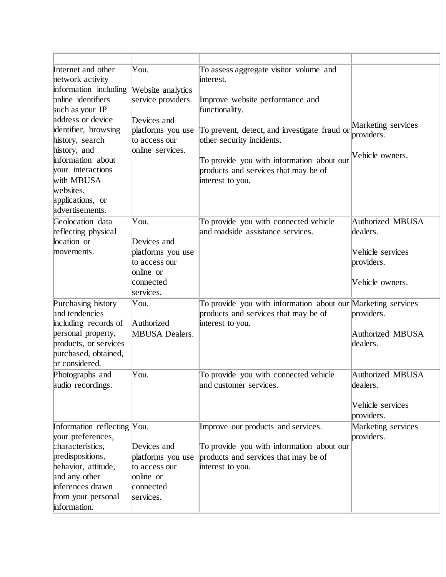| Internet and other<br>network activity<br>information including<br>online identifiers<br>such as your IP<br>address or device<br>identifier, browsing<br>history, search<br>history, and<br>information about<br>your interactions<br>with MBUSA<br>websites,<br>applications, or | You.<br>Website analytics<br>service providers.<br>Devices and<br>platforms you use<br>to access our<br>online services. | To assess aggregate visitor volume and<br>interest.<br>Improve website performance and<br>functionality.<br>To prevent, detect, and investigate fraud or<br>other security incidents.<br>To provide you with information about our<br>products and services that may be of<br>interest to you. | Marketing services<br>providers.<br>Vehicle owners.                               |
|-----------------------------------------------------------------------------------------------------------------------------------------------------------------------------------------------------------------------------------------------------------------------------------|--------------------------------------------------------------------------------------------------------------------------|------------------------------------------------------------------------------------------------------------------------------------------------------------------------------------------------------------------------------------------------------------------------------------------------|-----------------------------------------------------------------------------------|
| advertisements.                                                                                                                                                                                                                                                                   |                                                                                                                          |                                                                                                                                                                                                                                                                                                |                                                                                   |
| Geolocation data<br>reflecting physical<br>location or<br>movements.                                                                                                                                                                                                              | You.<br>Devices and<br>platforms you use<br>to access our<br>online or<br>connected<br>services.                         | To provide you with connected vehicle<br>and roadside assistance services.                                                                                                                                                                                                                     | Authorized MBUSA<br>dealers.<br>Vehicle services<br>providers.<br>Vehicle owners. |
| Purchasing history<br>and tendencies<br>including records of<br>personal property,<br>products, or services<br>purchased, obtained,<br>or considered.                                                                                                                             | You.<br>Authorized<br><b>MBUSA Dealers.</b>                                                                              | To provide you with information about our Marketing services<br>products and services that may be of<br>interest to you.                                                                                                                                                                       | providers.<br>Authorized MBUSA<br>dealers.                                        |
| Photographs and                                                                                                                                                                                                                                                                   | You.                                                                                                                     | To provide you with connected vehicle                                                                                                                                                                                                                                                          | Authorized MBUSA                                                                  |
| audio recordings.                                                                                                                                                                                                                                                                 |                                                                                                                          | and customer services.                                                                                                                                                                                                                                                                         | dealers.<br>Vehicle services<br>providers.                                        |
| Information reflecting You.                                                                                                                                                                                                                                                       |                                                                                                                          | Improve our products and services.                                                                                                                                                                                                                                                             | Marketing services                                                                |
| your preferences,<br>characteristics,<br>predispositions,<br>behavior, attitude,<br>and any other<br>inferences drawn<br>from your personal<br>information.                                                                                                                       | Devices and<br>platforms you use<br>to access our<br>online or<br>connected<br>services.                                 | To provide you with information about our<br>products and services that may be of<br>interest to you.                                                                                                                                                                                          | providers.                                                                        |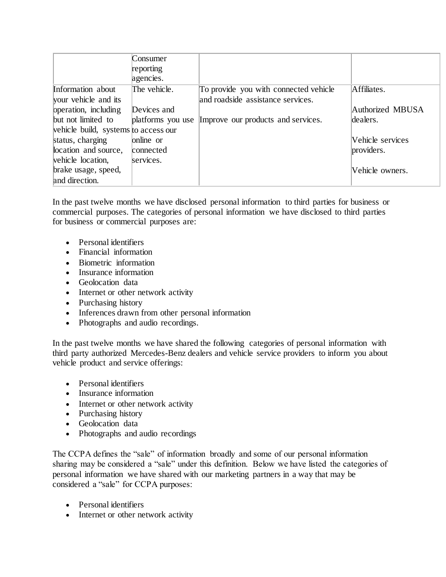|                                      | Consumer     |                                                      |                         |  |  |
|--------------------------------------|--------------|------------------------------------------------------|-------------------------|--|--|
|                                      | reporting    |                                                      |                         |  |  |
|                                      | agencies.    |                                                      |                         |  |  |
| Information about                    | The vehicle. | To provide you with connected vehicle                | Affiliates.             |  |  |
| your vehicle and its                 |              | and roadside assistance services.                    |                         |  |  |
| operation, including                 | Devices and  |                                                      | Authorized MBUSA        |  |  |
| but not limited to                   |              | platforms you use Improve our products and services. | dealers.                |  |  |
| vehicle build, systems to access our |              |                                                      |                         |  |  |
| status, charging                     | online or    |                                                      | <b>Vehicle</b> services |  |  |
| location and source,                 | connected    |                                                      | providers.              |  |  |
| vehicle location,                    | services.    |                                                      |                         |  |  |
| brake usage, speed,                  |              |                                                      | Vehicle owners.         |  |  |
| and direction.                       |              |                                                      |                         |  |  |

In the past twelve months we have disclosed personal information to third parties for business or commercial purposes. The categories of personal information we have disclosed to third parties for business or commercial purposes are:

- Personal identifiers
- Financial information
- Biometric information
- Insurance information
- Geolocation data
- Internet or other network activity
- Purchasing history
- Inferences drawn from other personal information
- Photographs and audio recordings.

In the past twelve months we have shared the following categories of personal information with third party authorized Mercedes-Benz dealers and vehicle service providers to inform you about vehicle product and service offerings:

- Personal identifiers
- Insurance information
- Internet or other network activity
- Purchasing history
- Geolocation data
- Photographs and audio recordings

The CCPA defines the "sale" of information broadly and some of our personal information sharing may be considered a "sale" under this definition. Below we have listed the categories of personal information we have shared with our marketing partners in a way that may be considered a "sale" for CCPA purposes:

- Personal identifiers
- Internet or other network activity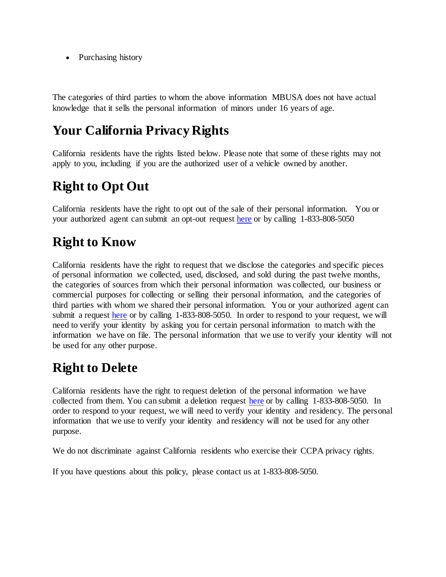• Purchasing history

The categories of third parties to whom the above information MBUSA does not have actual knowledge that it sells the personal information of minors under 16 years of age.

# **Your California Privacy Rights**

California residents have the rights listed below. Please note that some of these rights may not apply to you, including if you are the authorized user of a vehicle owned by another.

# **Right to Opt Out**

California residents have the right to opt out of the sale of their personal information. You or your authorized agent can submit an opt-out reques[t here](https://privacyportal-cdn.onetrust.com/dsarwebform/a3de94cc-66c0-419e-86e7-9911a41ac2fc/a2e0f3be-5ba4-4a3c-8d2f-18b9a5c56b6a.html) or by calling 1-833-808-5050

## **Right to Know**

California residents have the right to request that we disclose the categories and specific pieces of personal information we collected, used, disclosed, and sold during the past twelve months, the categories of sources from which their personal information was collected, our business or commercial purposes for collecting or selling their personal information, and the categories of third parties with whom we shared their personal information. You or your authorized agent can submit a request [here](https://privacyportal-cdn.onetrust.com/dsarwebform/a3de94cc-66c0-419e-86e7-9911a41ac2fc/c05924fa-2d76-4cb2-95e4-0e769dbb68b9.html) or by calling 1-833-808-5050. In order to respond to your request, we will need to verify your identity by asking you for certain personal information to match with the information we have on file. The personal information that we use to verify your identity will not be used for any other purpose.

### **Right to Delete**

California residents have the right to request deletion of the personal information we have collected from them. You can submit a deletion request [here](https://privacyportal-cdn.onetrust.com/dsarwebform/a3de94cc-66c0-419e-86e7-9911a41ac2fc/c05924fa-2d76-4cb2-95e4-0e769dbb68b9.html) or by calling 1-833-808-5050. In order to respond to your request, we will need to verify your identity and residency. The personal information that we use to verify your identity and residency will not be used for any other purpose.

We do not discriminate against California residents who exercise their CCPA privacy rights.

If you have questions about this policy, please contact us at 1-833-808-5050.